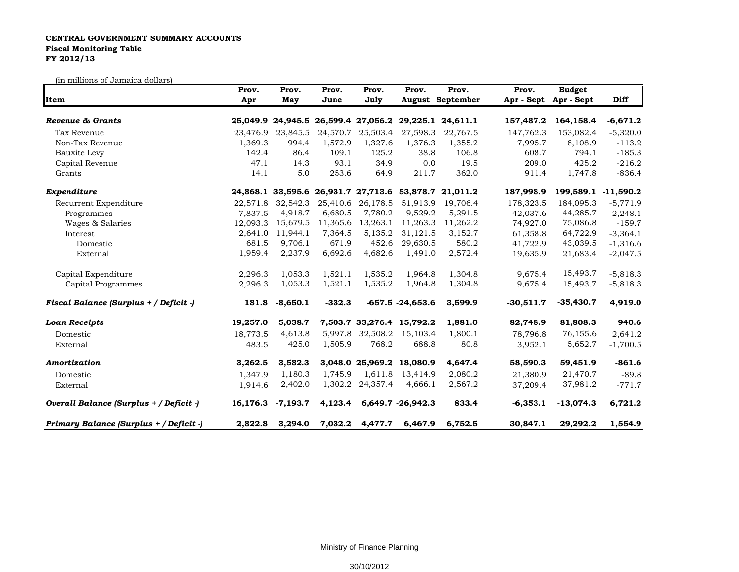## **CENTRAL GOVERNMENT SUMMARY ACCOUNTS Fiscal Monitoring Table FY 2012/13**

(in millions of Jamaica dollars)

|                                         | Prov.    | Prov.                                        | Prov.    | Prov.                     | Prov.               | Prov.                                                 | Prov.       | <b>Budget</b>         |             |
|-----------------------------------------|----------|----------------------------------------------|----------|---------------------------|---------------------|-------------------------------------------------------|-------------|-----------------------|-------------|
| Item                                    | Apr      | May                                          | June     | July                      |                     | <b>August September</b>                               |             | Apr - Sept Apr - Sept | <b>Diff</b> |
| Revenue & Grants                        |          |                                              |          |                           |                     | 25,049.9 24,945.5 26,599.4 27,056.2 29,225.1 24,611.1 | 157,487.2   | 164,158.4             | $-6,671.2$  |
| Tax Revenue                             | 23,476.9 | 23,845.5                                     |          | 24,570.7 25,503.4         | 27,598.3            | 22,767.5                                              | 147,762.3   | 153,082.4             | $-5,320.0$  |
| Non-Tax Revenue                         | 1,369.3  | 994.4                                        | 1,572.9  | 1,327.6                   | 1,376.3             | 1,355.2                                               | 7,995.7     | 8,108.9               | $-113.2$    |
| Bauxite Levy                            | 142.4    | 86.4                                         | 109.1    | 125.2                     | 38.8                | 106.8                                                 | 608.7       | 794.1                 | $-185.3$    |
| Capital Revenue                         | 47.1     | 14.3                                         | 93.1     | 34.9                      | 0.0                 | 19.5                                                  | 209.0       | 425.2                 | $-216.2$    |
| Grants                                  | 14.1     | 5.0                                          | 253.6    | 64.9                      | 211.7               | 362.0                                                 | 911.4       | 1,747.8               | $-836.4$    |
| Expenditure                             |          | 24,868.1 33,595.6 26,931.7 27,713.6 53,878.7 |          |                           |                     | 21,011.2                                              | 187,998.9   | 199,589.1 -11,590.2   |             |
| Recurrent Expenditure                   |          | 22,571.8 32,542.3                            |          | 25,410.6 26,178.5         | 51,913.9            | 19.706.4                                              | 178,323.5   | 184,095.3             | $-5,771.9$  |
| Programmes                              | 7,837.5  | 4,918.7                                      | 6,680.5  | 7,780.2                   | 9,529.2             | 5,291.5                                               | 42,037.6    | 44,285.7              | $-2,248.1$  |
| Wages & Salaries                        | 12.093.3 | 15,679.5                                     | 11,365.6 | 13,263.1                  | 11,263.3            | 11,262.2                                              | 74,927.0    | 75,086.8              | $-159.7$    |
| Interest                                | 2,641.0  | 11,944.1                                     | 7,364.5  | 5,135.2                   | 31,121.5            | 3,152.7                                               | 61,358.8    | 64,722.9              | $-3,364.1$  |
| Domestic                                | 681.5    | 9,706.1                                      | 671.9    | 452.6                     | 29,630.5            | 580.2                                                 | 41,722.9    | 43,039.5              | $-1,316.6$  |
| External                                | 1,959.4  | 2,237.9                                      | 6,692.6  | 4,682.6                   | 1,491.0             | 2,572.4                                               | 19,635.9    | 21,683.4              | $-2,047.5$  |
| Capital Expenditure                     | 2,296.3  | 1,053.3                                      | 1,521.1  | 1,535.2                   | 1,964.8             | 1,304.8                                               | 9,675.4     | 15,493.7              | $-5,818.3$  |
| Capital Programmes                      | 2,296.3  | 1,053.3                                      | 1,521.1  | 1,535.2                   | 1,964.8             | 1,304.8                                               | 9,675.4     | 15,493.7              | $-5,818.3$  |
| Fiscal Balance (Surplus + / Deficit -)  | 181.8    | $-8,650.1$                                   | $-332.3$ |                           | $-657.5 - 24,653.6$ | 3,599.9                                               | $-30,511.7$ | $-35,430.7$           | 4,919.0     |
| <b>Loan Receipts</b>                    | 19,257.0 | 5,038.7                                      |          | 7,503.7 33,276.4 15,792.2 |                     | 1,881.0                                               | 82,748.9    | 81,808.3              | 940.6       |
| Domestic                                | 18,773.5 | 4,613.8                                      |          | 5,997.8 32,508.2          | 15,103.4            | 1,800.1                                               | 78,796.8    | 76,155.6              | 2,641.2     |
| External                                | 483.5    | 425.0                                        | 1,505.9  | 768.2                     | 688.8               | 80.8                                                  | 3,952.1     | 5,652.7               | $-1,700.5$  |
| Amortization                            | 3,262.5  | 3,582.3                                      |          | 3,048.0 25,969.2 18,080.9 |                     | 4,647.4                                               | 58,590.3    | 59,451.9              | $-861.6$    |
| Domestic                                | 1,347.9  | 1,180.3                                      | 1,745.9  | 1,611.8                   | 13,414.9            | 2,080.2                                               | 21,380.9    | 21,470.7              | $-89.8$     |
| External                                | 1,914.6  | 2,402.0                                      |          | 1,302.2 24,357.4          | 4,666.1             | 2,567.2                                               | 37,209.4    | 37,981.2              | $-771.7$    |
| Overall Balance (Surplus + / Deficit -) | 16,176.3 | $-7,193.7$                                   | 4,123.4  |                           | 6,649.7 -26,942.3   | 833.4                                                 | $-6,353.1$  | $-13,074.3$           | 6,721.2     |
| Primary Balance (Surplus + / Deficit -) | 2,822.8  | 3,294.0                                      | 7,032.2  | 4,477.7                   | 6,467.9             | 6,752.5                                               | 30,847.1    | 29,292.2              | 1,554.9     |

Ministry of Finance Planning